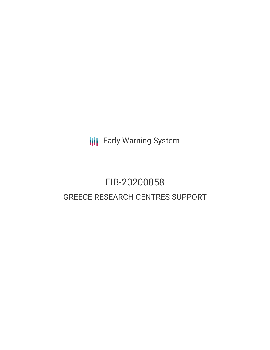**III** Early Warning System

# EIB-20200858 GREECE RESEARCH CENTRES SUPPORT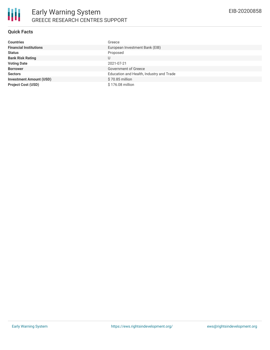## **Quick Facts**

| <b>Countries</b>               | Greece                                   |
|--------------------------------|------------------------------------------|
| <b>Financial Institutions</b>  | European Investment Bank (EIB)           |
| <b>Status</b>                  | Proposed                                 |
| <b>Bank Risk Rating</b>        |                                          |
| <b>Voting Date</b>             | 2021-07-21                               |
| <b>Borrower</b>                | Government of Greece                     |
| <b>Sectors</b>                 | Education and Health, Industry and Trade |
| <b>Investment Amount (USD)</b> | \$70.85 million                          |
| <b>Project Cost (USD)</b>      | \$176.08 million                         |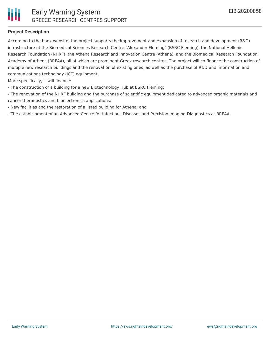

#### **Project Description**

According to the bank website, the project supports the improvement and expansion of research and development (R&D) infrastructure at the Biomedical Sciences Research Centre "Alexander Fleming" (BSRC Fleming), the National Hellenic Research Foundation (NHRF), the Athena Research and Innovation Centre (Athena), and the Biomedical Research Foundation Academy of Athens (BRFAA), all of which are prominent Greek research centres. The project will co-finance the construction of multiple new research buildings and the renovation of existing ones, as well as the purchase of R&D and information and communications technology (ICT) equipment.

More specifically, it will finance:

- The construction of a building for a new Biotechnology Hub at BSRC Fleming;
- The renovation of the NHRF building and the purchase of scientific equipment dedicated to advanced organic materials and cancer theranostics and bioelectronics applications;
- New facilities and the restoration of a listed building for Athena; and
- The establishment of an Advanced Centre for Infectious Diseases and Precision Imaging Diagnostics at BRFAA.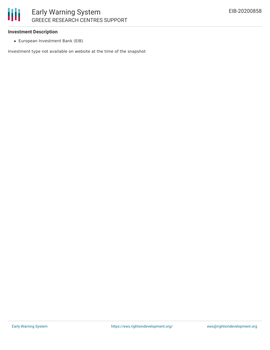# Early Warning System GREECE RESEARCH CENTRES SUPPORT

### **Investment Description**

European Investment Bank (EIB)

Investment type not available on website at the time of the snapshot